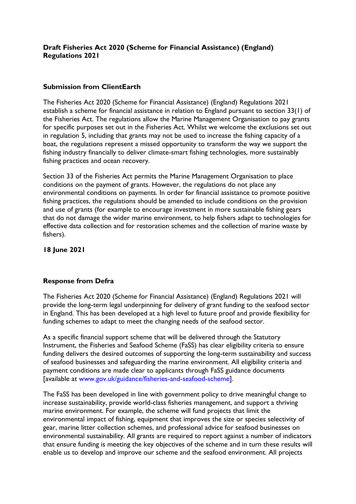## **Draft Fisheries Act 2020 (Scheme for Financial Assistance) (England) Regulations 2021**

## **Submission from ClientEarth**

The Fisheries Act 2020 (Scheme for Financial Assistance) (England) Regulations 2021 establish a scheme for financial assistance in relation to England pursuant to section 33(1) of the Fisheries Act. The regulations allow the Marine Management Organisation to pay grants for specific purposes set out in the Fisheries Act. Whilst we welcome the exclusions set out in regulation 5, including that grants may not be used to increase the fishing capacity of a boat, the regulations represent a missed opportunity to transform the way we support the fishing industry financially to deliver climate-smart fishing technologies, more sustainably fishing practices and ocean recovery.

Section 33 of the Fisheries Act permits the Marine Management Organisation to place conditions on the payment of grants. However, the regulations do not place any environmental conditions on payments. In order for financial assistance to promote positive fishing practices, the regulations should be amended to include conditions on the provision and use of grants (for example to encourage investment in more sustainable fishing gears that do not damage the wider marine environment, to help fishers adapt to technologies for effective data collection and for restoration schemes and the collection of marine waste by fishers).

**18 June 2021** 

## **Response from Defra**

The Fisheries Act 2020 (Scheme for Financial Assistance) (England) Regulations 2021 will provide the long-term legal underpinning for delivery of grant funding to the seafood sector in England. This has been developed at a high level to future proof and provide flexibility for funding schemes to adapt to meet the changing needs of the seafood sector.

As a specific financial support scheme that will be delivered through the Statutory Instrument, the Fisheries and Seafood Scheme (FaSS) has clear eligibility criteria to ensure funding delivers the desired outcomes of supporting the long-term sustainability and success of seafood businesses and safeguarding the marine environment. All eligibility criteria and payment conditions are made clear to applicants through FaSS guidance documents [available at www.gov.uk/guidance/fisheries-and-seafood-scheme].

The FaSS has been developed in line with government policy to drive meaningful change to increase sustainability, provide world-class fisheries management, and support a thriving marine environment. For example, the scheme will fund projects that limit the environmental impact of fishing, equipment that improves the size or species selectivity of gear, marine litter collection schemes, and professional advice for seafood businesses on environmental sustainability. All grants are required to report against a number of indicators that ensure funding is meeting the key objectives of the scheme and in turn these results will enable us to develop and improve our scheme and the seafood environment. All projects